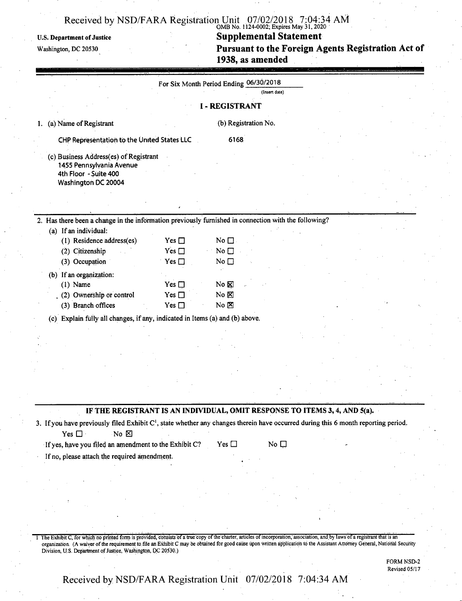## **Received by NSD/FARA Registration Unit 07/02/2018 7:04:34 AM** OMB No. 1124-0002; Expires May 31,2020

### U.S. Department of Justice **Supplemental Statement**

Washington, dc <sup>20530</sup> **Pursuant to the Foreign Agents Registration Act of 1938, as amended**

|                                                                                                                                                                                   | For Six Month Period Ending 06/30/2018          |                                              | (Insert date) |  |
|-----------------------------------------------------------------------------------------------------------------------------------------------------------------------------------|-------------------------------------------------|----------------------------------------------|---------------|--|
|                                                                                                                                                                                   |                                                 | <b>I - REGISTRANT</b>                        |               |  |
| (a) Name of Registrant<br>1.                                                                                                                                                      |                                                 | (b) Registration No.                         |               |  |
| CHP Representation to the United States LLC                                                                                                                                       |                                                 | 6168                                         |               |  |
| (c) Business Address(es) of Registrant<br>1455 Pennsylvania Avenue<br>4th Floor - Suite 400<br>Washington DC 20004                                                                |                                                 |                                              |               |  |
|                                                                                                                                                                                   |                                                 |                                              |               |  |
| 2. Has there been a change in the information previously furnished in connection with the following?                                                                              |                                                 |                                              |               |  |
| (a) If an individual:<br>(1) Residence address(es)<br>(2) Citizenship<br>(3) Occupation                                                                                           | Yes $\square$<br>Yes $\square$<br>Yes $\square$ | No $\square$<br>No $\square$<br>No $\square$ |               |  |
| (b) If an organization:<br>$(1)$ Name<br>(2) Ownership or control<br>(3) Branch offices                                                                                           | Yes $\square$<br>Yes $\square$<br>Yes $\square$ | No &<br>$No \boxtimes$<br>$No \boxtimes$     |               |  |
| (c) Explain fully all changes, if any, indicated in Items (a) and (b) above.                                                                                                      |                                                 |                                              |               |  |
|                                                                                                                                                                                   |                                                 |                                              |               |  |
|                                                                                                                                                                                   |                                                 |                                              |               |  |
| IF THE REGISTRANT IS AN INDIVIDUAL, OMIT RESPONSE TO ITEMS 3, 4, AND 5(a).                                                                                                        |                                                 |                                              |               |  |
| 3. If you have previously filed Exhibit C <sup>1</sup> , state whether any changes therein have occurred during this 6 month reporting period.<br>No $\boxtimes$<br>Yes $\square$ |                                                 |                                              |               |  |
| If yes, have you filed an amendment to the Exhibit C?                                                                                                                             |                                                 | Yes $\square$                                | No $\square$  |  |
| If no, please attach the required amendment.                                                                                                                                      |                                                 |                                              |               |  |
|                                                                                                                                                                                   |                                                 |                                              |               |  |
|                                                                                                                                                                                   |                                                 |                                              |               |  |

organization. (A waiver ofthe requirement to file an Exhibit C may be obtained for good cause upon written application to the Assistant Attorney General, National Security Division, U.S. Department of Justice, Washington, DC 20530.)

> FORM NSD-2 Revised 05/17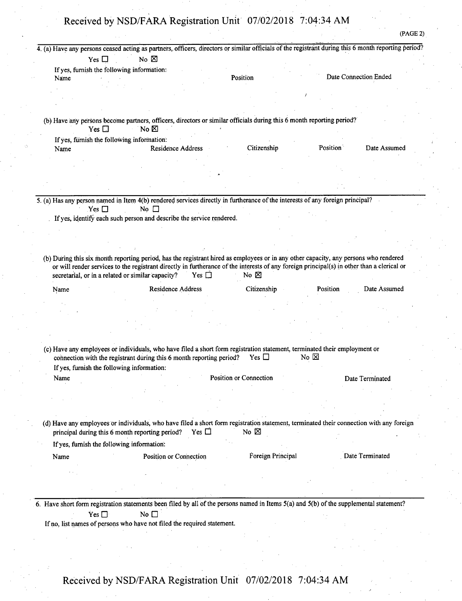(PAGE 2)

|                                                                                                                                                                                                                                                 | No $\boxtimes$           |               |                               |                                         |          | 4. (a) Have any persons ceased acting as partners, officers, directors or similar officials of the registrant during this 6 month reporting period? |
|-------------------------------------------------------------------------------------------------------------------------------------------------------------------------------------------------------------------------------------------------|--------------------------|---------------|-------------------------------|-----------------------------------------|----------|-----------------------------------------------------------------------------------------------------------------------------------------------------|
| Yes $\Box$                                                                                                                                                                                                                                      |                          |               |                               |                                         |          |                                                                                                                                                     |
| If yes, furnish the following information:<br>Name                                                                                                                                                                                              |                          |               | Position                      |                                         |          | Date Connection Ended                                                                                                                               |
|                                                                                                                                                                                                                                                 |                          |               |                               |                                         |          |                                                                                                                                                     |
|                                                                                                                                                                                                                                                 |                          |               |                               |                                         |          |                                                                                                                                                     |
|                                                                                                                                                                                                                                                 |                          |               |                               |                                         |          |                                                                                                                                                     |
|                                                                                                                                                                                                                                                 |                          |               |                               |                                         |          |                                                                                                                                                     |
| (b) Have any persons become partners, officers, directors or similar officials during this 6 month reporting period?                                                                                                                            |                          |               |                               |                                         |          |                                                                                                                                                     |
| Yes $\Box$                                                                                                                                                                                                                                      | No $\boxtimes$           |               |                               |                                         |          |                                                                                                                                                     |
| If yes, furnish the following information:                                                                                                                                                                                                      |                          |               |                               |                                         |          |                                                                                                                                                     |
| Name                                                                                                                                                                                                                                            | <b>Residence Address</b> |               | Citizenship                   |                                         | Position | Date Assumed                                                                                                                                        |
|                                                                                                                                                                                                                                                 |                          |               |                               |                                         |          |                                                                                                                                                     |
|                                                                                                                                                                                                                                                 |                          |               |                               |                                         |          |                                                                                                                                                     |
|                                                                                                                                                                                                                                                 |                          |               |                               |                                         |          |                                                                                                                                                     |
|                                                                                                                                                                                                                                                 |                          |               |                               |                                         |          |                                                                                                                                                     |
| 5. (a) Has any person named in Item 4(b) rendered services directly in furtherance of the interests of any foreign principal?<br>$Yes \Box$                                                                                                     | No $\Box$                |               |                               |                                         |          |                                                                                                                                                     |
| If yes, identify each such person and describe the service rendered.                                                                                                                                                                            |                          |               |                               |                                         |          |                                                                                                                                                     |
|                                                                                                                                                                                                                                                 |                          |               |                               |                                         |          |                                                                                                                                                     |
|                                                                                                                                                                                                                                                 |                          |               |                               |                                         |          |                                                                                                                                                     |
|                                                                                                                                                                                                                                                 |                          |               |                               |                                         |          |                                                                                                                                                     |
| secretarial, or in a related or similar capacity?<br>Name                                                                                                                                                                                       | Residence Address        | Yes $\Box$    | No $\boxtimes$<br>Citizenship |                                         | Position | Date Assumed                                                                                                                                        |
|                                                                                                                                                                                                                                                 |                          |               |                               |                                         |          |                                                                                                                                                     |
|                                                                                                                                                                                                                                                 |                          |               |                               |                                         |          |                                                                                                                                                     |
|                                                                                                                                                                                                                                                 |                          |               |                               |                                         |          |                                                                                                                                                     |
|                                                                                                                                                                                                                                                 |                          |               |                               |                                         |          |                                                                                                                                                     |
|                                                                                                                                                                                                                                                 |                          |               |                               |                                         |          |                                                                                                                                                     |
| (c) Have any employees or individuals, who have filed a short form registration statement, terminated their employment or<br>connection with the registrant during this 6 month reporting period?<br>If yes, furnish the following information: |                          |               | Yes $\Box$                    | $\overline{N}$ o $\overline{\boxtimes}$ |          |                                                                                                                                                     |
| Name                                                                                                                                                                                                                                            |                          |               | <b>Position or Connection</b> |                                         |          | Date Terminated                                                                                                                                     |
|                                                                                                                                                                                                                                                 |                          |               |                               |                                         |          |                                                                                                                                                     |
|                                                                                                                                                                                                                                                 |                          |               |                               |                                         |          |                                                                                                                                                     |
|                                                                                                                                                                                                                                                 |                          |               |                               |                                         |          |                                                                                                                                                     |
|                                                                                                                                                                                                                                                 |                          |               |                               |                                         |          |                                                                                                                                                     |
| (d) Have any employees or individuals, who have filed a short form registration statement, terminated their connection with any foreign<br>principal during this 6 month reporting period?                                                      |                          | Yes $\square$ | No $\boxtimes$                |                                         |          |                                                                                                                                                     |
| If yes, furnish the following information:                                                                                                                                                                                                      |                          |               |                               |                                         |          |                                                                                                                                                     |
|                                                                                                                                                                                                                                                 | Position or Connection   |               | Foreign Principal             |                                         |          | Date Terminated                                                                                                                                     |
| Name                                                                                                                                                                                                                                            |                          |               |                               |                                         |          |                                                                                                                                                     |
|                                                                                                                                                                                                                                                 |                          |               |                               |                                         |          |                                                                                                                                                     |
|                                                                                                                                                                                                                                                 |                          |               |                               |                                         |          |                                                                                                                                                     |
|                                                                                                                                                                                                                                                 |                          |               |                               |                                         |          |                                                                                                                                                     |
|                                                                                                                                                                                                                                                 |                          |               |                               |                                         |          |                                                                                                                                                     |
| 6. Have short form registration statements been filed by all of the persons named in Items 5(a) and 5(b) of the supplemental statement?                                                                                                         |                          |               |                               |                                         |          |                                                                                                                                                     |
|                                                                                                                                                                                                                                                 | No $\square$             |               |                               |                                         |          |                                                                                                                                                     |
| Yes $\square$<br>If no, list names of persons who have not filed the required statement.                                                                                                                                                        |                          |               |                               |                                         |          |                                                                                                                                                     |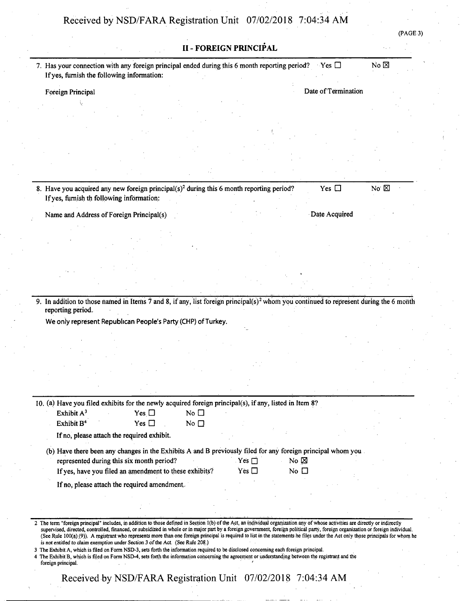| If yes, furnish the following information:<br>Foreign Principal<br>8. Have you acquired any new foreign principal( $s$ ) <sup>2</sup> during this 6 month reporting period?<br>If yes, furnish th following information:<br>Name and Address of Foreign Principal(s) |                   |               | <b>II - FOREIGN PRINCIPAL</b><br>7. Has your connection with any foreign principal ended during this 6 month reporting period? |                                                                                                                                                                                                                                       |                                                              |                      | $Yes$ $\Box$<br>Date of Termination |                                                                                                                                          | $No \boxtimes$                                                                                                                                                                                                                                                                                    |                                                                                                                                                                                                                                                                                                                                                                                                                                                                                                                         |
|----------------------------------------------------------------------------------------------------------------------------------------------------------------------------------------------------------------------------------------------------------------------|-------------------|---------------|--------------------------------------------------------------------------------------------------------------------------------|---------------------------------------------------------------------------------------------------------------------------------------------------------------------------------------------------------------------------------------|--------------------------------------------------------------|----------------------|-------------------------------------|------------------------------------------------------------------------------------------------------------------------------------------|---------------------------------------------------------------------------------------------------------------------------------------------------------------------------------------------------------------------------------------------------------------------------------------------------|-------------------------------------------------------------------------------------------------------------------------------------------------------------------------------------------------------------------------------------------------------------------------------------------------------------------------------------------------------------------------------------------------------------------------------------------------------------------------------------------------------------------------|
|                                                                                                                                                                                                                                                                      |                   |               |                                                                                                                                |                                                                                                                                                                                                                                       |                                                              |                      |                                     |                                                                                                                                          |                                                                                                                                                                                                                                                                                                   |                                                                                                                                                                                                                                                                                                                                                                                                                                                                                                                         |
|                                                                                                                                                                                                                                                                      |                   |               |                                                                                                                                |                                                                                                                                                                                                                                       |                                                              |                      |                                     |                                                                                                                                          |                                                                                                                                                                                                                                                                                                   |                                                                                                                                                                                                                                                                                                                                                                                                                                                                                                                         |
|                                                                                                                                                                                                                                                                      |                   |               |                                                                                                                                |                                                                                                                                                                                                                                       |                                                              |                      |                                     |                                                                                                                                          |                                                                                                                                                                                                                                                                                                   |                                                                                                                                                                                                                                                                                                                                                                                                                                                                                                                         |
|                                                                                                                                                                                                                                                                      |                   |               |                                                                                                                                |                                                                                                                                                                                                                                       |                                                              |                      |                                     |                                                                                                                                          |                                                                                                                                                                                                                                                                                                   |                                                                                                                                                                                                                                                                                                                                                                                                                                                                                                                         |
|                                                                                                                                                                                                                                                                      |                   |               |                                                                                                                                |                                                                                                                                                                                                                                       |                                                              |                      |                                     |                                                                                                                                          |                                                                                                                                                                                                                                                                                                   |                                                                                                                                                                                                                                                                                                                                                                                                                                                                                                                         |
|                                                                                                                                                                                                                                                                      |                   |               |                                                                                                                                |                                                                                                                                                                                                                                       |                                                              |                      |                                     |                                                                                                                                          |                                                                                                                                                                                                                                                                                                   |                                                                                                                                                                                                                                                                                                                                                                                                                                                                                                                         |
|                                                                                                                                                                                                                                                                      |                   |               |                                                                                                                                |                                                                                                                                                                                                                                       |                                                              |                      |                                     |                                                                                                                                          |                                                                                                                                                                                                                                                                                                   |                                                                                                                                                                                                                                                                                                                                                                                                                                                                                                                         |
|                                                                                                                                                                                                                                                                      |                   |               |                                                                                                                                |                                                                                                                                                                                                                                       |                                                              |                      |                                     |                                                                                                                                          |                                                                                                                                                                                                                                                                                                   |                                                                                                                                                                                                                                                                                                                                                                                                                                                                                                                         |
|                                                                                                                                                                                                                                                                      |                   |               |                                                                                                                                |                                                                                                                                                                                                                                       |                                                              |                      |                                     |                                                                                                                                          |                                                                                                                                                                                                                                                                                                   |                                                                                                                                                                                                                                                                                                                                                                                                                                                                                                                         |
|                                                                                                                                                                                                                                                                      |                   |               |                                                                                                                                |                                                                                                                                                                                                                                       |                                                              |                      | Yes $\Box$                          |                                                                                                                                          | No $\boxtimes$                                                                                                                                                                                                                                                                                    |                                                                                                                                                                                                                                                                                                                                                                                                                                                                                                                         |
|                                                                                                                                                                                                                                                                      |                   |               |                                                                                                                                |                                                                                                                                                                                                                                       |                                                              |                      |                                     |                                                                                                                                          |                                                                                                                                                                                                                                                                                                   |                                                                                                                                                                                                                                                                                                                                                                                                                                                                                                                         |
|                                                                                                                                                                                                                                                                      |                   |               |                                                                                                                                |                                                                                                                                                                                                                                       |                                                              |                      | Date Acquired                       |                                                                                                                                          |                                                                                                                                                                                                                                                                                                   |                                                                                                                                                                                                                                                                                                                                                                                                                                                                                                                         |
|                                                                                                                                                                                                                                                                      |                   |               |                                                                                                                                |                                                                                                                                                                                                                                       |                                                              |                      |                                     |                                                                                                                                          |                                                                                                                                                                                                                                                                                                   |                                                                                                                                                                                                                                                                                                                                                                                                                                                                                                                         |
|                                                                                                                                                                                                                                                                      |                   |               |                                                                                                                                |                                                                                                                                                                                                                                       |                                                              |                      |                                     |                                                                                                                                          |                                                                                                                                                                                                                                                                                                   |                                                                                                                                                                                                                                                                                                                                                                                                                                                                                                                         |
|                                                                                                                                                                                                                                                                      |                   |               |                                                                                                                                |                                                                                                                                                                                                                                       |                                                              |                      |                                     |                                                                                                                                          |                                                                                                                                                                                                                                                                                                   |                                                                                                                                                                                                                                                                                                                                                                                                                                                                                                                         |
|                                                                                                                                                                                                                                                                      |                   |               |                                                                                                                                |                                                                                                                                                                                                                                       |                                                              |                      |                                     |                                                                                                                                          |                                                                                                                                                                                                                                                                                                   |                                                                                                                                                                                                                                                                                                                                                                                                                                                                                                                         |
|                                                                                                                                                                                                                                                                      |                   |               |                                                                                                                                |                                                                                                                                                                                                                                       |                                                              |                      |                                     |                                                                                                                                          |                                                                                                                                                                                                                                                                                                   |                                                                                                                                                                                                                                                                                                                                                                                                                                                                                                                         |
|                                                                                                                                                                                                                                                                      |                   |               |                                                                                                                                |                                                                                                                                                                                                                                       |                                                              |                      |                                     |                                                                                                                                          |                                                                                                                                                                                                                                                                                                   |                                                                                                                                                                                                                                                                                                                                                                                                                                                                                                                         |
|                                                                                                                                                                                                                                                                      |                   |               |                                                                                                                                |                                                                                                                                                                                                                                       |                                                              |                      |                                     |                                                                                                                                          |                                                                                                                                                                                                                                                                                                   |                                                                                                                                                                                                                                                                                                                                                                                                                                                                                                                         |
|                                                                                                                                                                                                                                                                      |                   |               |                                                                                                                                |                                                                                                                                                                                                                                       |                                                              |                      |                                     |                                                                                                                                          |                                                                                                                                                                                                                                                                                                   |                                                                                                                                                                                                                                                                                                                                                                                                                                                                                                                         |
|                                                                                                                                                                                                                                                                      |                   |               |                                                                                                                                |                                                                                                                                                                                                                                       |                                                              |                      |                                     |                                                                                                                                          |                                                                                                                                                                                                                                                                                                   |                                                                                                                                                                                                                                                                                                                                                                                                                                                                                                                         |
|                                                                                                                                                                                                                                                                      |                   |               |                                                                                                                                |                                                                                                                                                                                                                                       |                                                              |                      |                                     |                                                                                                                                          |                                                                                                                                                                                                                                                                                                   |                                                                                                                                                                                                                                                                                                                                                                                                                                                                                                                         |
|                                                                                                                                                                                                                                                                      |                   |               |                                                                                                                                |                                                                                                                                                                                                                                       |                                                              |                      |                                     |                                                                                                                                          |                                                                                                                                                                                                                                                                                                   |                                                                                                                                                                                                                                                                                                                                                                                                                                                                                                                         |
| Exhibit A <sup>3</sup>                                                                                                                                                                                                                                               |                   | Yes $\Box$    | No $\square$                                                                                                                   |                                                                                                                                                                                                                                       |                                                              |                      |                                     |                                                                                                                                          |                                                                                                                                                                                                                                                                                                   |                                                                                                                                                                                                                                                                                                                                                                                                                                                                                                                         |
| Exhibit B <sup>4</sup>                                                                                                                                                                                                                                               |                   | Yes $\square$ | No $\square$                                                                                                                   |                                                                                                                                                                                                                                       |                                                              |                      |                                     |                                                                                                                                          |                                                                                                                                                                                                                                                                                                   |                                                                                                                                                                                                                                                                                                                                                                                                                                                                                                                         |
|                                                                                                                                                                                                                                                                      |                   |               |                                                                                                                                |                                                                                                                                                                                                                                       |                                                              |                      |                                     |                                                                                                                                          |                                                                                                                                                                                                                                                                                                   |                                                                                                                                                                                                                                                                                                                                                                                                                                                                                                                         |
|                                                                                                                                                                                                                                                                      |                   |               |                                                                                                                                |                                                                                                                                                                                                                                       |                                                              |                      |                                     |                                                                                                                                          |                                                                                                                                                                                                                                                                                                   |                                                                                                                                                                                                                                                                                                                                                                                                                                                                                                                         |
|                                                                                                                                                                                                                                                                      |                   |               |                                                                                                                                |                                                                                                                                                                                                                                       |                                                              |                      |                                     |                                                                                                                                          |                                                                                                                                                                                                                                                                                                   |                                                                                                                                                                                                                                                                                                                                                                                                                                                                                                                         |
|                                                                                                                                                                                                                                                                      |                   |               |                                                                                                                                |                                                                                                                                                                                                                                       |                                                              |                      |                                     |                                                                                                                                          |                                                                                                                                                                                                                                                                                                   |                                                                                                                                                                                                                                                                                                                                                                                                                                                                                                                         |
|                                                                                                                                                                                                                                                                      |                   |               |                                                                                                                                |                                                                                                                                                                                                                                       |                                                              |                      |                                     |                                                                                                                                          |                                                                                                                                                                                                                                                                                                   |                                                                                                                                                                                                                                                                                                                                                                                                                                                                                                                         |
|                                                                                                                                                                                                                                                                      |                   |               |                                                                                                                                |                                                                                                                                                                                                                                       |                                                              |                      |                                     |                                                                                                                                          |                                                                                                                                                                                                                                                                                                   |                                                                                                                                                                                                                                                                                                                                                                                                                                                                                                                         |
|                                                                                                                                                                                                                                                                      | reporting period. |               | If no, please attach the required exhibit.                                                                                     | represented during this six month period?<br>If yes, have you filed an amendment to these exhibits?<br>If no, please attach the required amendment.<br>is not entitled to claim exemption under Section 3 of the Act. (See Rule 208.) | We only represent Republican People's Party (CHP) of Turkey. | Yes<br>Yes $\square$ |                                     | 10. (a) Have you filed exhibits for the newly acquired foreign principal(s), if any, listed in Item 8?<br>No $\boxtimes$<br>No $\square$ | (b) Have there been any changes in the Exhibits A and B previously filed for any foreign principal whom you.<br>(See Rule 100(a) (9)). A registrant who represents more than one foreign principal is required to list in the statements he files under the Act only those principals for whom he | 9. In addition to those named in Items 7 and 8, if any, list foreign principal(s) <sup>2</sup> whom you continued to represent during the 6 month<br>The term "foreign principal" includes, in addition to those defined in Section 1(b) of the Act, an individual organization any of whose activities are directly or indirectly<br>supervised, directed, controlled, financed, or subsidized in whole or in major part by a foreign government, foreign political party, foreign organization or foreign individual. |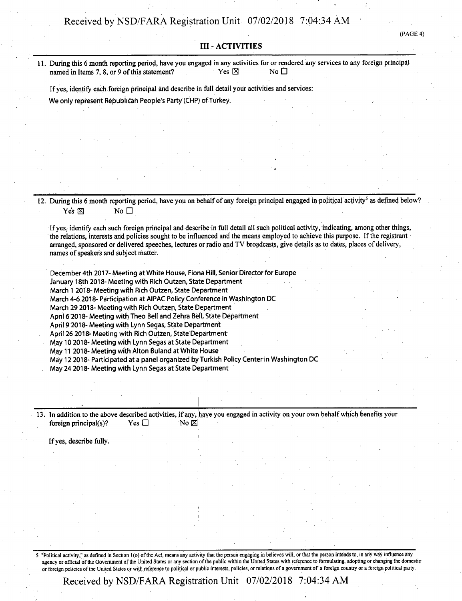(PAGE 4)

#### **III-ACTIVITIES**

| 11. During this 6 month reporting period, have you engaged in any activities for or rendered any services to any foreign principal |                 |                                  |  |
|------------------------------------------------------------------------------------------------------------------------------------|-----------------|----------------------------------|--|
| named in Items 7, 8, or 9 of this statement?                                                                                       | Yes $\boxtimes$ | $\overline{\mathsf{N}}$ o $\Box$ |  |

Ifyes, identify each foreign principal and describe in full detail your activities and services:

**We only represent Republican People's Party (CHP) ofTurkey.**

12. During this 6 month reporting period, have you on behalf of any foreign principal engaged in political activity<sup>5</sup> as defined below? Yes  $\boxtimes$  No  $\Box$ 

If yes, identify each such foreign principal and describe in full detail all such political activity, indicating, among other things, the relations, interests and policies sought to be influenced and the means employed to achieve this purpose. Ifthe registrant arranged, sponsored or delivered speeches, lectures or radio and TV broadcasts, give details as to dates, places of delivery, names of speakers and subject matter.

**December 4th 2017- Meeting at White House, Fiona Hill, Senior Director for Europe January 18th 2018-Meeting with Rich Outzen, State Department March <sup>1</sup> 2018- Meeting with Rich Outzen, State Department March 4-6 2018-Participation at AIPAC Policy Conference in Washington DC March 29 2018- Meeting with Rich Outzen, State Department April 6 2018-Meeting with Theo Bell and Zehra Bell, State Department April 9 2018- Meeting with Lynn Segas, State Department April 26 2018^-Meeting with Rich Outzen, State Department May 10 2018- Meeting with Lynn Segas at State Department May 11 2018-Meeting with Alton Buland at White House May 12 2018-Participated at a panel organized by Turkish Policy Center in Washington DC May 24 2018- Meeting with Lynn Segas at State Department**

13. In addition to the above described activities, if any, have you engaged in activity on your own behalf which benefits your foreign principal(s)? Yes  $\Box$  No  $\boxtimes$ 

Ifyes, describe fully.

5 "Political activity," as defined in Section 1(o) of the Act, means any activity that the person engaging in believes will, or that the person intends to, in any way influence any agency or official of the Government of the United States or any section of the public within the United States with reference to formulating, adopting or changing the domestic or foreign policies ofthe United States or with reference to political or public interests, policies, or relations of a government of a foreign country or a foreign political party.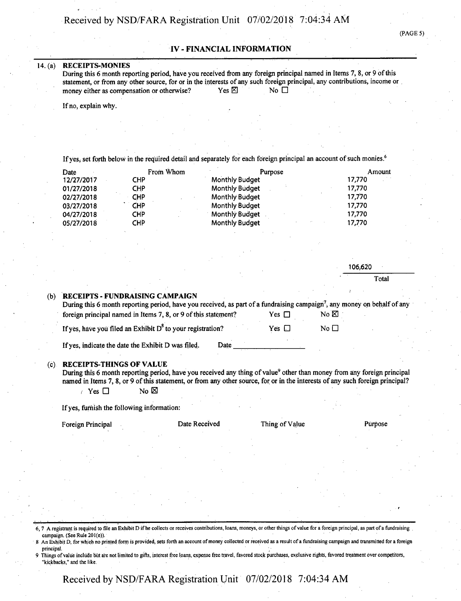(PAGE 5)

### **IV - FINANCIAL INFORMATION**

#### **14. (a) RECEIPTS-MONIES**

During this 6 month reporting period, have you received from any foreign principal named in Items 7, 8, or 9 of this statement, or from any other source, for or in the interests of any such foreign principal, any contributions, income or money either as compensation or otherwise? Yes  $\boxtimes$  No  $\Box$ 

If no, explain why.

If yes, set forth below in the required detail and separately for each foreign principal an account of such monies.<sup>6</sup>

| Date       | From Whom  | Purpose               | Amount |
|------------|------------|-----------------------|--------|
| 12/27/2017 | <b>CHP</b> | <b>Monthly Budget</b> | 17,770 |
| 01/27/2018 | CHP        | <b>Monthly Budget</b> | 17,770 |
| 02/27/2018 | CHP        | <b>Monthly Budget</b> | 17,770 |
| 03/27/2018 | CHP        | <b>Monthly Budget</b> | 17,770 |
| 04/27/2018 | <b>CHP</b> | <b>Monthly Budget</b> | 17,770 |
| 05/27/2018 | <b>CHP</b> | <b>Monthly Budget</b> | 17,770 |

|         |                                                               |                                                                                                                                                                                                                                                                                        |                |                | 106,620 |
|---------|---------------------------------------------------------------|----------------------------------------------------------------------------------------------------------------------------------------------------------------------------------------------------------------------------------------------------------------------------------------|----------------|----------------|---------|
|         |                                                               |                                                                                                                                                                                                                                                                                        |                |                | Total   |
| (b)     | <b>RECEIPTS - FUNDRAISING CAMPAIGN</b>                        | During this 6 month reporting period, have you received, as part of a fundraising campaign <sup>7</sup> , any money on behalf of any                                                                                                                                                   |                |                |         |
|         |                                                               | foreign principal named in Items 7, 8, or 9 of this statement?                                                                                                                                                                                                                         | Yes $\Box$     | $No \boxtimes$ |         |
|         | If yes, have you filed an Exhibit $D^8$ to your registration? |                                                                                                                                                                                                                                                                                        | Yes $\Box$     | No $\Box$      |         |
|         | If yes, indicate the date the Exhibit D was filed.            | Date                                                                                                                                                                                                                                                                                   |                |                |         |
| $(c)$ . | <b>RECEIPTS-THINGS OF VALUE</b><br>$\in$ Yes $\Box$           | During this 6 month reporting period, have you received any thing of value <sup>9</sup> other than money from any foreign principal<br>named in Items 7, 8, or 9 of this statement, or from any other source, for or in the interests of any such foreign principal?<br>No $\boxtimes$ |                |                |         |
|         | If yes, furnish the following information:                    |                                                                                                                                                                                                                                                                                        |                |                |         |
|         | Foreign Principal                                             | Date Received                                                                                                                                                                                                                                                                          | Thing of Value |                | Purpose |
|         |                                                               |                                                                                                                                                                                                                                                                                        |                |                |         |
|         |                                                               |                                                                                                                                                                                                                                                                                        |                |                |         |
|         |                                                               |                                                                                                                                                                                                                                                                                        |                |                |         |

6,7 A registrant is required to file an Exhibit D ifhe collects or receives contributions, loans, moneys, or other things ofvalue for a foreign principal, as part of a fundraising campaign. (See Rule 201(e)).

8 An Exhibit D, for which no printed form is provided, sets forth an account of money collected or received as a result of a fundraising campaign and transmitted for a foreign principal. And the contract of the contract of the contract of the contract of the contract of the contract of

principal.<br>9 Things of value include but are not limited to gifts, interest free loans, expense free travel, favored stock purchases, exclusive rights, favored treatment over competitors, "kickbacks," and the like.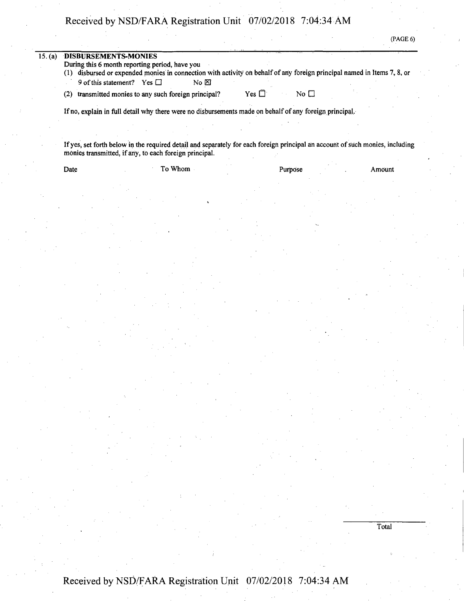| 15. (a) | <b>DISBURSEMENTS-MONIES</b>                                                                                                                                                  |
|---------|------------------------------------------------------------------------------------------------------------------------------------------------------------------------------|
|         | During this 6 month reporting period, have you<br>disbursed or expended monies in connection with activity on behalf of any foreign principal named in Items 7, 8, or<br>(1) |
|         | 9 of this statement?<br>Yes $\Box$<br>No $\boxtimes$                                                                                                                         |
|         | transmitted monies to any such foreign principal?<br>No <sub>1</sub><br>$Yes \Box$<br>(2)                                                                                    |
|         | If no, explain in full detail why there were no disbursements made on behalf of any foreign principal.                                                                       |

(PAGE 6)

**Total** 

If yes, set forth below in the required detail and separately for each foreign principal an account of such monies, including monies transmitted, if any, to each foreign principal.

| Date | To Whom | Purpose | Amount |
|------|---------|---------|--------|
|      |         |         |        |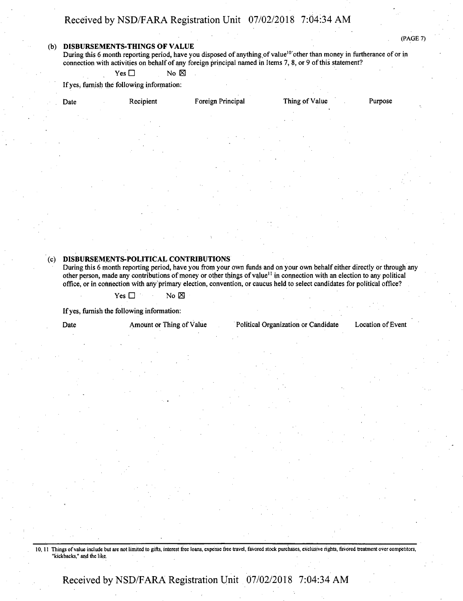#### **(b) DISBURSEMENTS-THINGS OF VALUE**

(PAGE 7)

During this 6 month reporting period, have you disposed of anything of value<sup>10</sup> other than money in furtherance of or in connection with activities on behalf of any foreign principal named in Items 7, 8, or 9 of this statement?

 $Yes \Box$  No  $\boxtimes$ 

Ifyes, furnish the following information:

| Date | Recipient | Foreign Principal          | Thing of Value | Purpose |
|------|-----------|----------------------------|----------------|---------|
|      |           |                            |                |         |
|      |           |                            |                |         |
|      |           | $\sim$<br>$\sim$<br>$\sim$ |                |         |
|      |           | <b>STATE</b>               |                |         |

#### **(c) DISBURSEMENTS-POLITICAL CONTRIBUTIONS**

During this 6 month reporting period, have you from your own funds and on your own behalf either directly or through any other person, made any contributions of money or other things of value<sup>11</sup> in connection with an election to any political office, or in connection with any primary election, convention, or caucus held to select candidates for political office?

 $Yes \Box$  No  $\boxtimes$ 

If yes, furnish the following information:

Date Amount or Thing of Value Political Organization or Candidate Location of Event

10, 11 Things of value include but are not limited to gifts, interest free loans, expense free travel, favored stock purchases, exclusive rights, favored treatment over competitors, "kickbacks," and the like.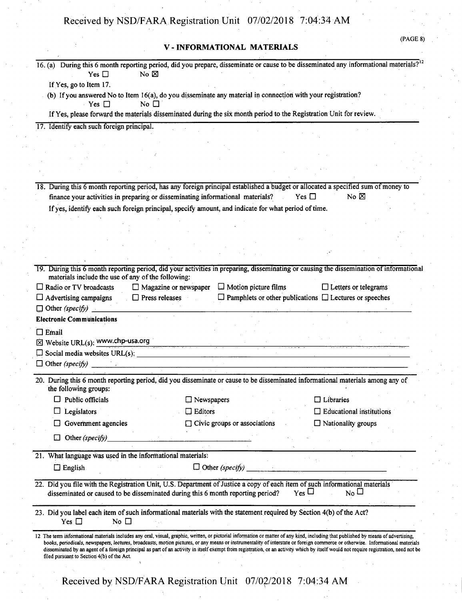### **V - INFORMATIONAL MATERIALS**

|                                                            |                                                                                                                             | 16. (a) During this 6 month reporting period, did you prepare, disseminate or cause to be disseminated any informational materials? <sup>12</sup>                                                                                                                                                                                                                                                                                                                                                                                                              |
|------------------------------------------------------------|-----------------------------------------------------------------------------------------------------------------------------|----------------------------------------------------------------------------------------------------------------------------------------------------------------------------------------------------------------------------------------------------------------------------------------------------------------------------------------------------------------------------------------------------------------------------------------------------------------------------------------------------------------------------------------------------------------|
| Yes $\square$                                              | No $\boxtimes$                                                                                                              |                                                                                                                                                                                                                                                                                                                                                                                                                                                                                                                                                                |
| If Yes, go to Item 17.                                     |                                                                                                                             |                                                                                                                                                                                                                                                                                                                                                                                                                                                                                                                                                                |
|                                                            | (b) If you answered No to Item 16(a), do you disseminate any material in connection with your registration?                 |                                                                                                                                                                                                                                                                                                                                                                                                                                                                                                                                                                |
| Yes                                                        | No $\Box$                                                                                                                   |                                                                                                                                                                                                                                                                                                                                                                                                                                                                                                                                                                |
|                                                            | If Yes, please forward the materials disseminated during the six month period to the Registration Unit for review.          |                                                                                                                                                                                                                                                                                                                                                                                                                                                                                                                                                                |
| 17. Identify each such foreign principal.                  |                                                                                                                             |                                                                                                                                                                                                                                                                                                                                                                                                                                                                                                                                                                |
|                                                            |                                                                                                                             |                                                                                                                                                                                                                                                                                                                                                                                                                                                                                                                                                                |
|                                                            |                                                                                                                             |                                                                                                                                                                                                                                                                                                                                                                                                                                                                                                                                                                |
|                                                            |                                                                                                                             |                                                                                                                                                                                                                                                                                                                                                                                                                                                                                                                                                                |
|                                                            |                                                                                                                             |                                                                                                                                                                                                                                                                                                                                                                                                                                                                                                                                                                |
|                                                            |                                                                                                                             | 18. During this 6 month reporting period, has any foreign principal established a budget or allocated a specified sum of money to                                                                                                                                                                                                                                                                                                                                                                                                                              |
|                                                            | finance your activities in preparing or disseminating informational materials?                                              | No $\boxtimes$<br>Yes $\Box$                                                                                                                                                                                                                                                                                                                                                                                                                                                                                                                                   |
|                                                            | If yes, identify each such foreign principal, specify amount, and indicate for what period of time.                         |                                                                                                                                                                                                                                                                                                                                                                                                                                                                                                                                                                |
|                                                            |                                                                                                                             |                                                                                                                                                                                                                                                                                                                                                                                                                                                                                                                                                                |
|                                                            |                                                                                                                             |                                                                                                                                                                                                                                                                                                                                                                                                                                                                                                                                                                |
|                                                            |                                                                                                                             |                                                                                                                                                                                                                                                                                                                                                                                                                                                                                                                                                                |
|                                                            |                                                                                                                             |                                                                                                                                                                                                                                                                                                                                                                                                                                                                                                                                                                |
|                                                            |                                                                                                                             |                                                                                                                                                                                                                                                                                                                                                                                                                                                                                                                                                                |
| materials include the use of any of the following:         |                                                                                                                             | 19. During this 6 month reporting period, did your activities in preparing, disseminating or causing the dissemination of informational                                                                                                                                                                                                                                                                                                                                                                                                                        |
| $\Box$ Radio or TV broadcasts                              | $\Box$ Motion picture films<br>$\Box$ Magazine or newspaper                                                                 | $\Box$ Letters or telegrams                                                                                                                                                                                                                                                                                                                                                                                                                                                                                                                                    |
| $\Box$ Advertising campaigns                               | $\Box$ Press releases                                                                                                       | $\Box$ Pamphlets or other publications $\Box$ Lectures or speeches                                                                                                                                                                                                                                                                                                                                                                                                                                                                                             |
| $\Box$ Other (specify) $\Box$                              |                                                                                                                             |                                                                                                                                                                                                                                                                                                                                                                                                                                                                                                                                                                |
| <b>Electronic Communications</b>                           |                                                                                                                             |                                                                                                                                                                                                                                                                                                                                                                                                                                                                                                                                                                |
| $\Box$ Email                                               |                                                                                                                             |                                                                                                                                                                                                                                                                                                                                                                                                                                                                                                                                                                |
| $\boxtimes$ Website URL(s): www.chp-usa.org                |                                                                                                                             |                                                                                                                                                                                                                                                                                                                                                                                                                                                                                                                                                                |
|                                                            |                                                                                                                             |                                                                                                                                                                                                                                                                                                                                                                                                                                                                                                                                                                |
|                                                            |                                                                                                                             |                                                                                                                                                                                                                                                                                                                                                                                                                                                                                                                                                                |
|                                                            |                                                                                                                             |                                                                                                                                                                                                                                                                                                                                                                                                                                                                                                                                                                |
| the following groups:                                      |                                                                                                                             | 20. During this 6 month reporting period, did you disseminate or cause to be disseminated informational materials among any of                                                                                                                                                                                                                                                                                                                                                                                                                                 |
| $\Box$ Public officials                                    | $\Box$ Newspapers                                                                                                           | $\Box$ Libraries                                                                                                                                                                                                                                                                                                                                                                                                                                                                                                                                               |
| Legislators                                                | $\Box$ Editors                                                                                                              | $\Box$ Educational institutions                                                                                                                                                                                                                                                                                                                                                                                                                                                                                                                                |
| Government agencies                                        | $\Box$ Civic groups or associations                                                                                         | $\Box$ Nationality groups                                                                                                                                                                                                                                                                                                                                                                                                                                                                                                                                      |
| $\Box$ Other (specify)                                     |                                                                                                                             |                                                                                                                                                                                                                                                                                                                                                                                                                                                                                                                                                                |
|                                                            |                                                                                                                             |                                                                                                                                                                                                                                                                                                                                                                                                                                                                                                                                                                |
| 21. What language was used in the informational materials: |                                                                                                                             |                                                                                                                                                                                                                                                                                                                                                                                                                                                                                                                                                                |
| $\Box$ English                                             | $\Box$ Other (specify)                                                                                                      |                                                                                                                                                                                                                                                                                                                                                                                                                                                                                                                                                                |
|                                                            | 22. Did you file with the Registration Unit, U.S. Department of Justice a copy of each item of such informational materials |                                                                                                                                                                                                                                                                                                                                                                                                                                                                                                                                                                |
|                                                            | disseminated or caused to be disseminated during this 6 month reporting period?                                             | $_{\rm Yes}$ $\Box$<br>$N_0$ $\square$                                                                                                                                                                                                                                                                                                                                                                                                                                                                                                                         |
| Yes $\Box$<br>No $\square$                                 | 23. Did you label each item of such informational materials with the statement required by Section 4(b) of the Act?         |                                                                                                                                                                                                                                                                                                                                                                                                                                                                                                                                                                |
| filed pursuant to Section 4(b) of the Act.                 |                                                                                                                             | 12. The term informational materials includes any oral, visual, graphic, written, or pictorial information or matter of any kind, including that published by means of advertising,<br>books, periodicals, newspapers, lectures, broadcasts, motion pictures, or any means or instrumentality of interstate or foreign commerce or otherwise. Informational materials<br>disseminated by an agent of a foreign principal as part of an activity in itself exempt from registration, or an activity which by itself would not require registration, need not be |